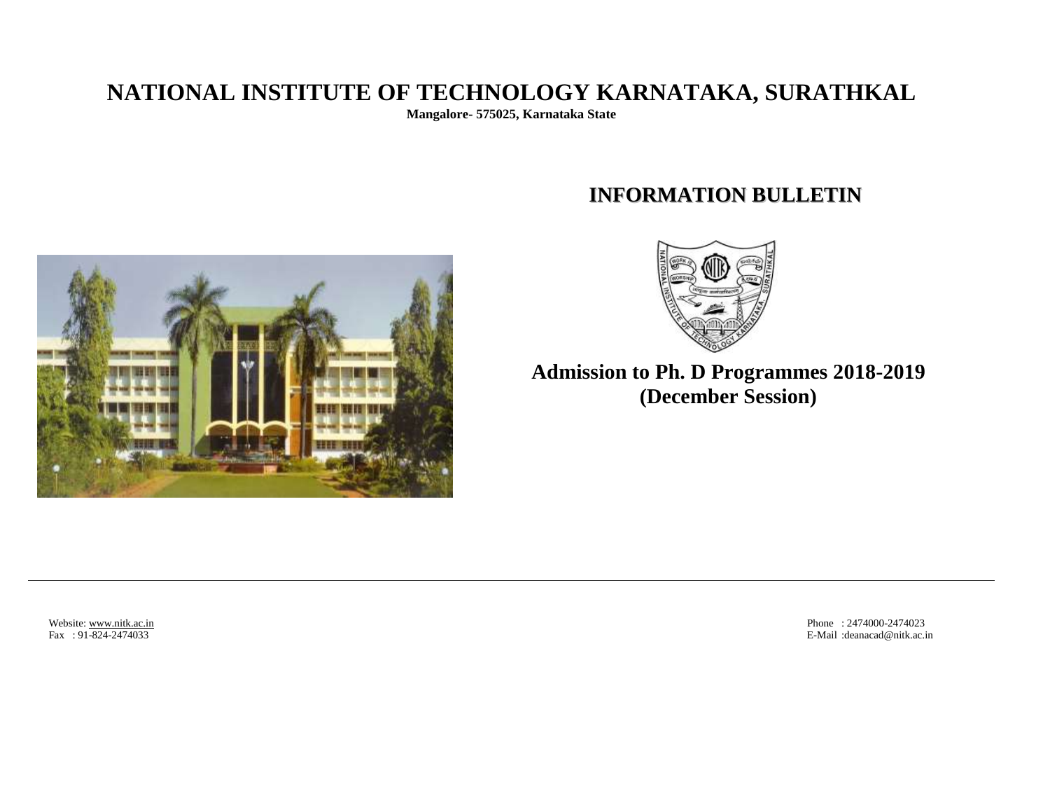# **NATIONAL INSTITUTE OF TECHNOLOGY KARNATAKA, SURATHKAL**

**Mangalore- 575025, Karnataka State**

# **INFORMATION BULLETIN**





**Admission to Ph. D Programmes 2018-2019 (December Session)**

Website[: www.nitk.ac.in](http://www.nitk.ac.in/) Phone : 2474000-2474023 Phone : 2474000-2474023 Phone : 2474000-2474023 Phone : 2474000-2474023 Phone : 2474000-2474023 B-Mail : deanacad @nitk.ac.in E-Mail: deanacad@nitk.ac.in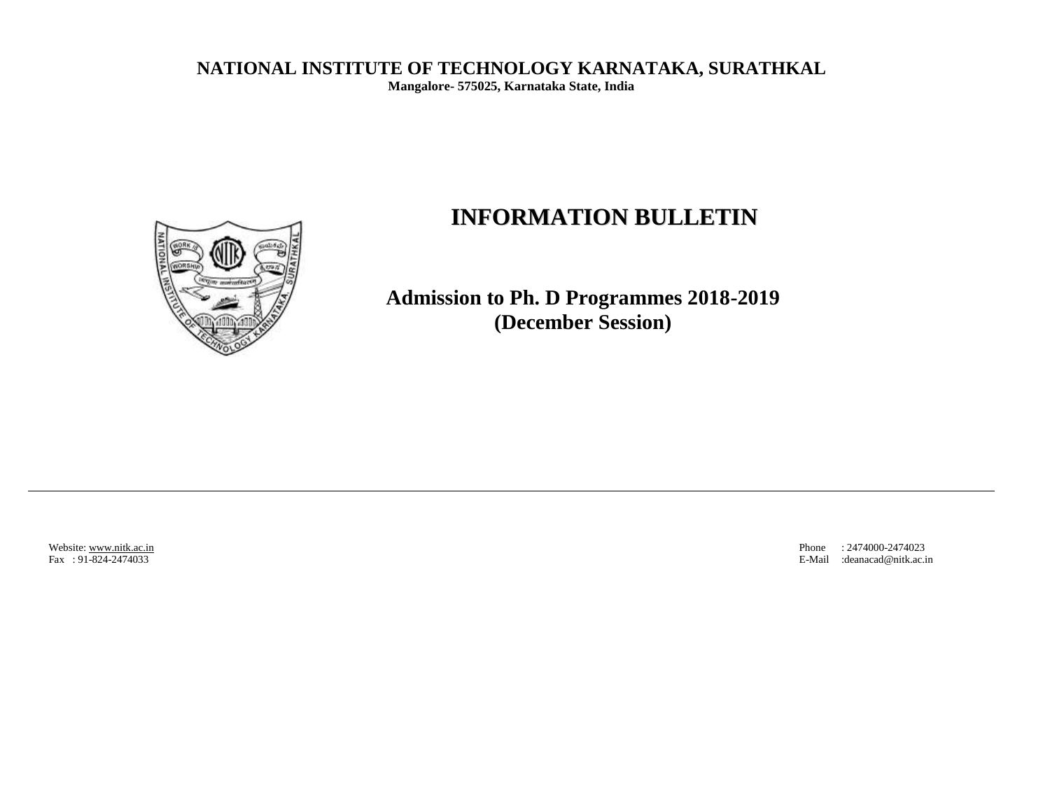**NATIONAL INSTITUTE OF TECHNOLOGY KARNATAKA, SURATHKAL** 

**Mangalore- 575025, Karnataka State, India**

# **INFORMATION BULLETIN**



**Admission to Ph. D Programmes 2018-2019 (December Session)**

Website[: www.nitk.ac.in](http://www.nitk.ac.in/) Phone : 2474000-2474023<br>
Fax : 91-824-2474033 E-Mail :deanacad @nitk.ac.i E-Mail :deanacad@nitk.ac.in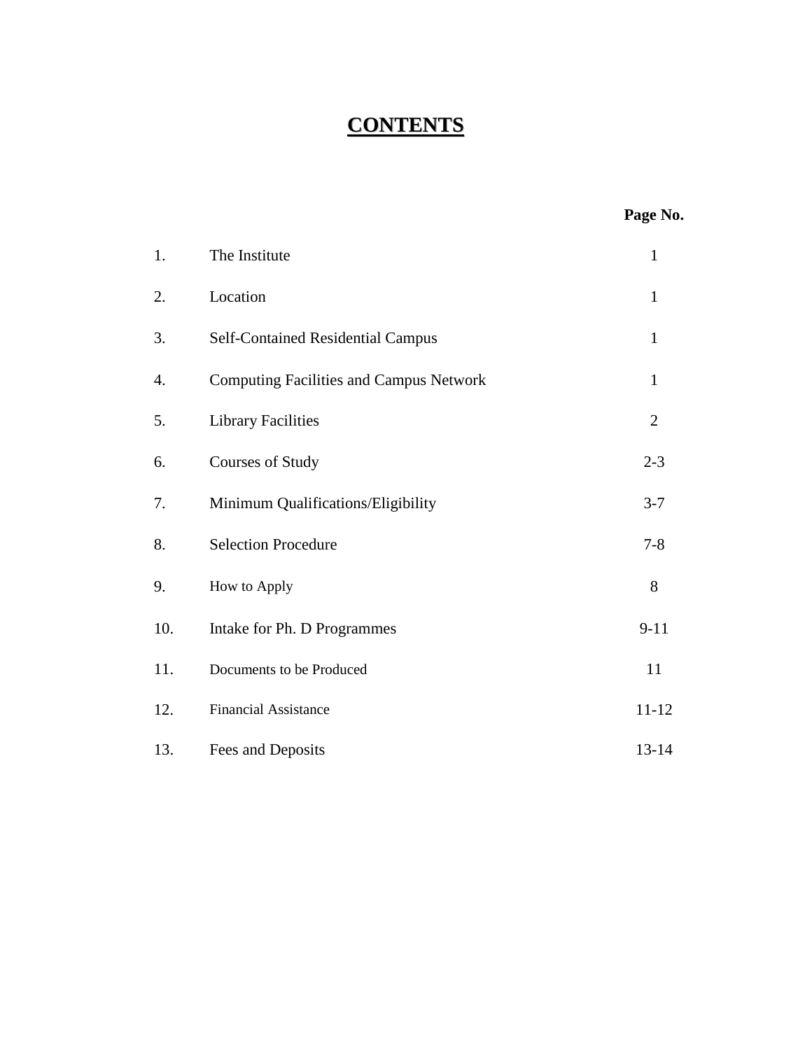# **CONTENTS**

| Yage No. |  |
|----------|--|
|----------|--|

| 1.  | The Institute                                  | $\mathbf{1}$   |
|-----|------------------------------------------------|----------------|
| 2.  | Location                                       | $\mathbf{1}$   |
| 3.  | Self-Contained Residential Campus              | $\mathbf{1}$   |
| 4.  | <b>Computing Facilities and Campus Network</b> | $\mathbf{1}$   |
| 5.  | <b>Library Facilities</b>                      | $\overline{2}$ |
| 6.  | <b>Courses of Study</b>                        | $2 - 3$        |
| 7.  | Minimum Qualifications/Eligibility             | $3 - 7$        |
| 8.  | <b>Selection Procedure</b>                     | $7 - 8$        |
| 9.  | How to Apply                                   | 8              |
| 10. | Intake for Ph. D Programmes                    | $9-11$         |
| 11. | Documents to be Produced                       | 11             |
| 12. | <b>Financial Assistance</b>                    | $11 - 12$      |
| 13. | Fees and Deposits                              | 13-14          |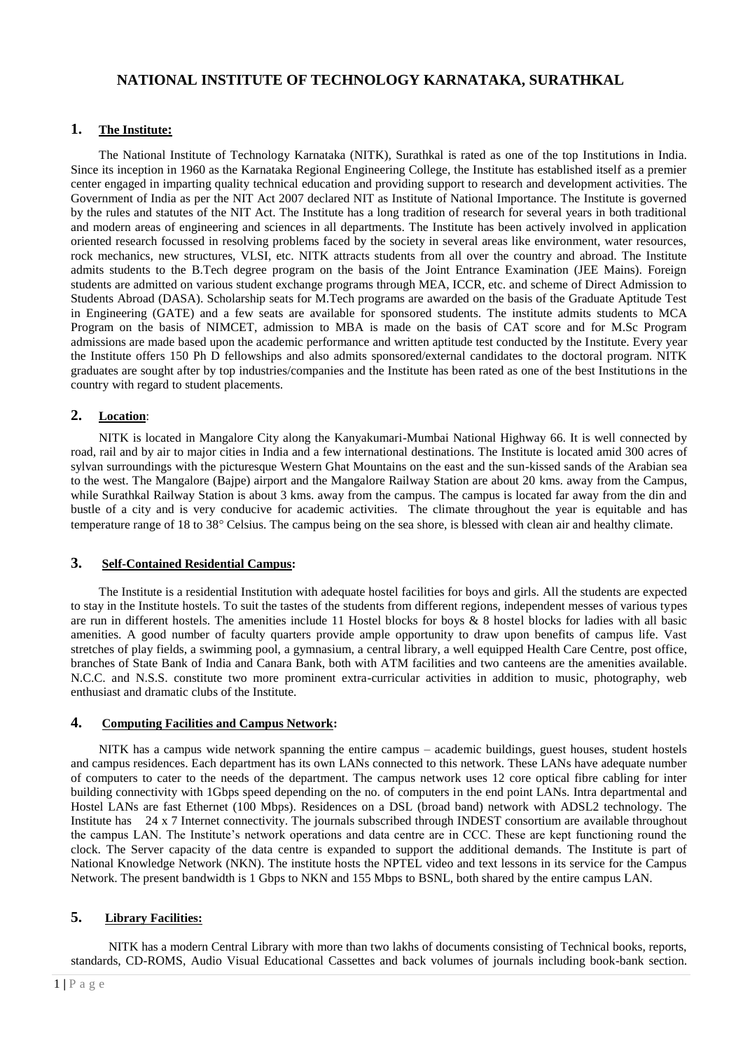# **NATIONAL INSTITUTE OF TECHNOLOGY KARNATAKA, SURATHKAL**

# **1. The Institute:**

The National Institute of Technology Karnataka (NITK), Surathkal is rated as one of the top Institutions in India. Since its inception in 1960 as the Karnataka Regional Engineering College, the Institute has established itself as a premier center engaged in imparting quality technical education and providing support to research and development activities. The Government of India as per the NIT Act 2007 declared NIT as Institute of National Importance. The Institute is governed by the rules and statutes of the NIT Act. The Institute has a long tradition of research for several years in both traditional and modern areas of engineering and sciences in all departments. The Institute has been actively involved in application oriented research focussed in resolving problems faced by the society in several areas like environment, water resources, rock mechanics, new structures, VLSI, etc. NITK attracts students from all over the country and abroad. The Institute admits students to the B.Tech degree program on the basis of the Joint Entrance Examination (JEE Mains). Foreign students are admitted on various student exchange programs through MEA, ICCR, etc. and scheme of Direct Admission to Students Abroad (DASA). Scholarship seats for M.Tech programs are awarded on the basis of the Graduate Aptitude Test in Engineering (GATE) and a few seats are available for sponsored students. The institute admits students to MCA Program on the basis of NIMCET, admission to MBA is made on the basis of CAT score and for M.Sc Program admissions are made based upon the academic performance and written aptitude test conducted by the Institute. Every year the Institute offers 150 Ph D fellowships and also admits sponsored/external candidates to the doctoral program. NITK graduates are sought after by top industries/companies and the Institute has been rated as one of the best Institutions in the country with regard to student placements.

# **2. Location**:

NITK is located in Mangalore City along the Kanyakumari-Mumbai National Highway 66. It is well connected by road, rail and by air to major cities in India and a few international destinations. The Institute is located amid 300 acres of sylvan surroundings with the picturesque Western Ghat Mountains on the east and the sun-kissed sands of the Arabian sea to the west. The Mangalore (Bajpe) airport and the Mangalore Railway Station are about 20 kms. away from the Campus, while Surathkal Railway Station is about 3 kms. away from the campus. The campus is located far away from the din and bustle of a city and is very conducive for academic activities. The climate throughout the year is equitable and has temperature range of 18 to 38° Celsius. The campus being on the sea shore, is blessed with clean air and healthy climate.

### **3. Self-Contained Residential Campus:**

The Institute is a residential Institution with adequate hostel facilities for boys and girls. All the students are expected to stay in the Institute hostels. To suit the tastes of the students from different regions, independent messes of various types are run in different hostels. The amenities include 11 Hostel blocks for boys & 8 hostel blocks for ladies with all basic amenities. A good number of faculty quarters provide ample opportunity to draw upon benefits of campus life. Vast stretches of play fields, a swimming pool, a gymnasium, a central library, a well equipped Health Care Centre, post office, branches of State Bank of India and Canara Bank, both with ATM facilities and two canteens are the amenities available. N.C.C. and N.S.S. constitute two more prominent extra-curricular activities in addition to music, photography, web enthusiast and dramatic clubs of the Institute.

#### **4. Computing Facilities and Campus Network:**

NITK has a campus wide network spanning the entire campus – academic buildings, guest houses, student hostels and campus residences. Each department has its own LANs connected to this network. These LANs have adequate number of computers to cater to the needs of the department. The campus network uses 12 core optical fibre cabling for inter building connectivity with 1Gbps speed depending on the no. of computers in the end point LANs. Intra departmental and Hostel LANs are fast Ethernet (100 Mbps). Residences on a DSL (broad band) network with ADSL2 technology. The Institute has 24 x 7 Internet connectivity. The journals subscribed through INDEST consortium are available throughout the campus LAN. The Institute's network operations and data centre are in CCC. These are kept functioning round the clock. The Server capacity of the data centre is expanded to support the additional demands. The Institute is part of National Knowledge Network (NKN). The institute hosts the NPTEL video and text lessons in its service for the Campus Network. The present bandwidth is 1 Gbps to NKN and 155 Mbps to BSNL, both shared by the entire campus LAN.

### **5. Library Facilities:**

 NITK has a modern Central Library with more than two lakhs of documents consisting of Technical books, reports, standards, CD-ROMS, Audio Visual Educational Cassettes and back volumes of journals including book-bank section.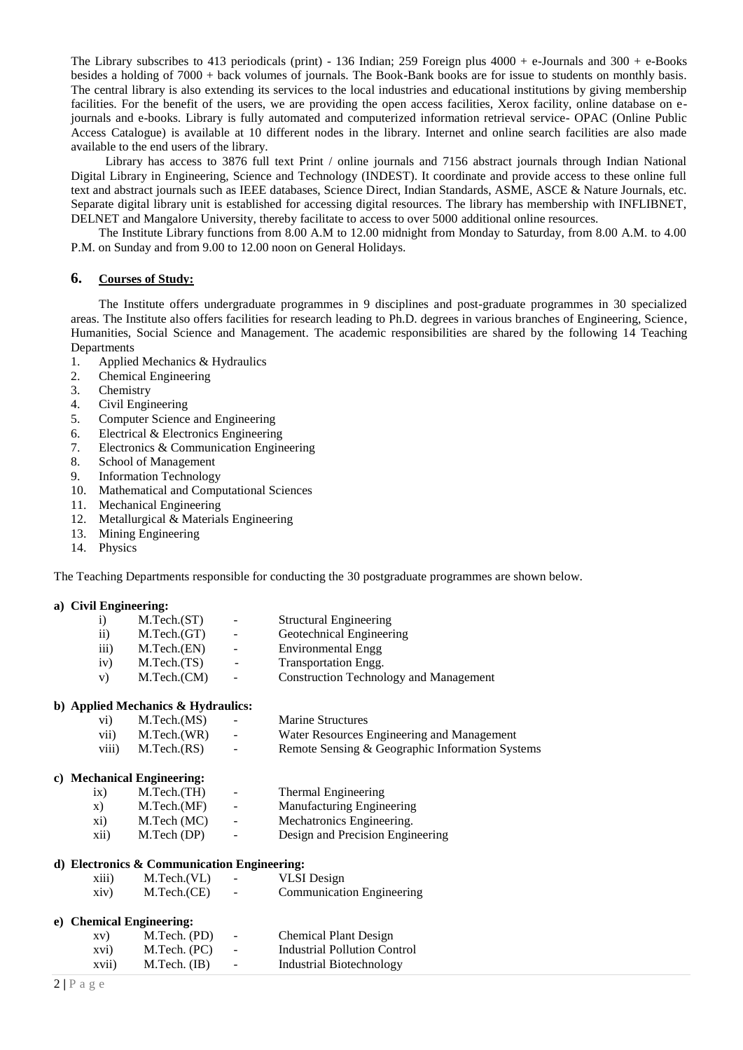The Library subscribes to 413 periodicals (print) - 136 Indian; 259 Foreign plus 4000 + e-Journals and 300 + e-Books besides a holding of 7000 + back volumes of journals. The Book-Bank books are for issue to students on monthly basis. The central library is also extending its services to the local industries and educational institutions by giving membership facilities. For the benefit of the users, we are providing the open access facilities, Xerox facility, online database on ejournals and e-books. Library is fully automated and computerized information retrieval service- OPAC (Online Public Access Catalogue) is available at 10 different nodes in the library. Internet and online search facilities are also made available to the end users of the library.

 Library has access to 3876 full text Print / online journals and 7156 abstract journals through Indian National Digital Library in Engineering, Science and Technology (INDEST). It coordinate and provide access to these online full text and abstract journals such as IEEE databases, Science Direct, Indian Standards, ASME, ASCE & Nature Journals, etc. Separate digital library unit is established for accessing digital resources. The library has membership with INFLIBNET, DELNET and Mangalore University, thereby facilitate to access to over 5000 additional online resources.

The Institute Library functions from 8.00 A.M to 12.00 midnight from Monday to Saturday, from 8.00 A.M. to 4.00 P.M. on Sunday and from 9.00 to 12.00 noon on General Holidays.

#### **6. Courses of Study:**

The Institute offers undergraduate programmes in 9 disciplines and post-graduate programmes in 30 specialized areas. The Institute also offers facilities for research leading to Ph.D. degrees in various branches of Engineering, Science, Humanities, Social Science and Management. The academic responsibilities are shared by the following 14 Teaching Departments

- 1. Applied Mechanics & Hydraulics
- 2. Chemical Engineering
- 3. Chemistry
- 4. Civil Engineering
- 5. Computer Science and Engineering
- 6. Electrical & Electronics Engineering
- 7. Electronics & Communication Engineering
- 8. School of Management
- 9. Information Technology
- 10. Mathematical and Computational Sciences
- 11. Mechanical Engineering
- 12. Metallurgical & Materials Engineering
- 13. Mining Engineering
- 14. Physics

The Teaching Departments responsible for conducting the 30 postgraduate programmes are shown below.

#### **a) Civil Engineering:**

| 1)                 | M.Tech.(ST) | $\sim$                   | <b>Structural Engineering</b>                 |
|--------------------|-------------|--------------------------|-----------------------------------------------|
| $\rm ii)$          | M.Tech.(GT) | $\overline{\phantom{a}}$ | Geotechnical Engineering                      |
| $\overline{111}$ ) | M.Tech.(EN) | $\overline{\phantom{a}}$ | <b>Environmental Engg</b>                     |
| iv)                | M.Tech.(TS) | $\sim$                   | <b>Transportation Engg.</b>                   |
| V)                 | M.Tech.(CM) | $\sim$                   | <b>Construction Technology and Management</b> |
|                    |             |                          |                                               |

#### **b) Applied Mechanics & Hydraulics:**

| $\rm vi)$ | M.Tech.(MS) | <b>Contract Contract</b> | <b>Marine Structures</b>                        |
|-----------|-------------|--------------------------|-------------------------------------------------|
| vii)      | M.Tech.(WR) | <b>Contract Contract</b> | Water Resources Engineering and Management      |
| viii)     | M.Tech.(RS) | <b>Contract Contract</b> | Remote Sensing & Geographic Information Systems |

#### **c) Mechanical Engineering:**

| ix)          | M.Tech.(TH) | $\sim$ | Thermal Engineering              |
|--------------|-------------|--------|----------------------------------|
| $\mathbf{X}$ | M.Tech.(MF) | $\sim$ | Manufacturing Engineering        |
| xi)          | M.Tech (MC) | $\sim$ | Mechatronics Engineering.        |
| xii)         | M.Tech (DP) | $\sim$ | Design and Precision Engineering |

#### **d) Electronics & Communication Engineering:**

| xiii) | M.Tech.(VL) | $\overline{\phantom{0}}$ | <b>VLSI</b> Design               |
|-------|-------------|--------------------------|----------------------------------|
| xiv)  | M.Tech.(CE) | $\overline{\phantom{0}}$ | <b>Communication Engineering</b> |

#### **e) Chemical Engineering:**

| XV)   | M.Tech. (PD)   | $\sim$ | <b>Chemical Plant Design</b> |
|-------|----------------|--------|------------------------------|
| xvi)  | M.Tech. (PC)   | $\sim$ | Industrial Pollution Control |
| xvii) | $M.Tech.$ (IB) | $\sim$ | Industrial Biotechnology     |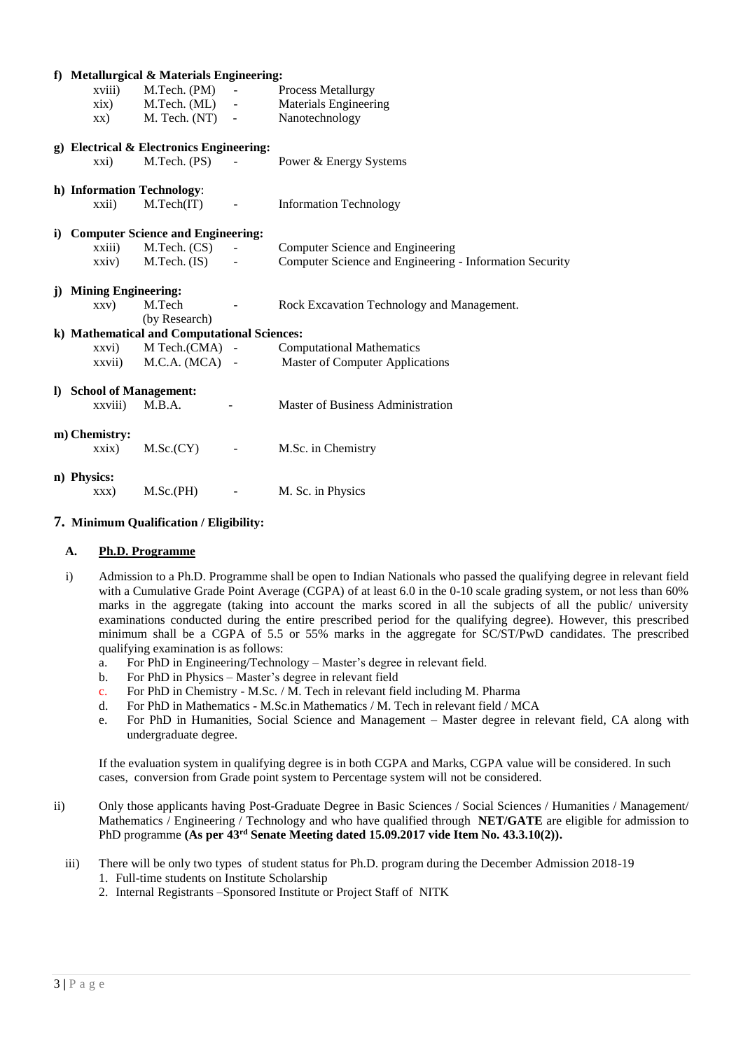|                            | f) Metallurgical & Materials Engineering:   |                |                                                         |
|----------------------------|---------------------------------------------|----------------|---------------------------------------------------------|
| xviii)                     | $M.Tech. (PM) -$                            |                | Process Metallurgy                                      |
| xix)                       | $M.Tech. (ML)$ -                            |                | <b>Materials Engineering</b>                            |
| XX)                        | $M.$ Tech. $(NT)$ -                         |                | Nanotechnology                                          |
|                            | g) Electrical & Electronics Engineering:    |                |                                                         |
| $\overline{xxi}$           | $M.Tech. (PS) -$                            |                | Power & Energy Systems                                  |
| h) Information Technology: |                                             |                |                                                         |
| xxii)                      | M.Tech(IT)                                  | $\sim 100$     | <b>Information Technology</b>                           |
|                            | i) Computer Science and Engineering:        |                |                                                         |
| xxiii)                     | M.Tech. (CS)                                | $\sim$ $-$     | Computer Science and Engineering                        |
| $\overline{xxiv}$          | M.Tech. (IS)                                |                | Computer Science and Engineering - Information Security |
| j) Mining Engineering:     |                                             |                |                                                         |
| XXV)                       | M.Tech<br><b>Contract Contract</b>          |                | Rock Excavation Technology and Management.              |
|                            | (by Research)                               |                |                                                         |
|                            | k) Mathematical and Computational Sciences: |                |                                                         |
| xxvi)                      | $M$ Tech.(CMA) -                            |                | <b>Computational Mathematics</b>                        |
| xxvii)                     | $M.C.A. (MCA)$ -                            |                | <b>Master of Computer Applications</b>                  |
| I) School of Management:   |                                             |                |                                                         |
| xxviii)                    | M.B.A.                                      | $\blacksquare$ | Master of Business Administration                       |
| m) Chemistry:              |                                             |                |                                                         |
| $\overline{xx}$            | M.Sc.(CY)                                   |                | M.Sc. in Chemistry                                      |
| n) Physics:                |                                             |                |                                                         |
| XXX)                       | M.Sc.(PH)                                   | $\blacksquare$ | M. Sc. in Physics                                       |

# **7. Minimum Qualification / Eligibility:**

## **A. Ph.D. Programme**

- i) Admission to a Ph.D. Programme shall be open to Indian Nationals who passed the qualifying degree in relevant field with a Cumulative Grade Point Average (CGPA) of at least 6.0 in the 0-10 scale grading system, or not less than 60% marks in the aggregate (taking into account the marks scored in all the subjects of all the public/ university examinations conducted during the entire prescribed period for the qualifying degree). However, this prescribed minimum shall be a CGPA of 5.5 or 55% marks in the aggregate for SC/ST/PwD candidates. The prescribed qualifying examination is as follows:
	- a. For PhD in Engineering/Technology Master's degree in relevant field.
	- b. For PhD in Physics Master's degree in relevant field
	- c. For PhD in Chemistry M.Sc. / M. Tech in relevant field including M. Pharma
	- d. For PhD in Mathematics M.Sc.in Mathematics / M. Tech in relevant field / MCA
	- e. For PhD in Humanities, Social Science and Management Master degree in relevant field, CA along with undergraduate degree.

If the evaluation system in qualifying degree is in both CGPA and Marks, CGPA value will be considered. In such cases, conversion from Grade point system to Percentage system will not be considered.

- ii) Only those applicants having Post-Graduate Degree in Basic Sciences / Social Sciences / Humanities / Management/ Mathematics / Engineering / Technology and who have qualified through **NET/GATE** are eligible for admission to PhD programme **(As per 43<sup>rd</sup> Senate Meeting dated 15.09.2017 vide Item No. 43.3.10(2)).** 
	- iii) There will be only two types of student status for Ph.D. program during the December Admission 2018-19
		- 1. Full-time students on Institute Scholarship
		- 2. Internal Registrants –Sponsored Institute or Project Staff of NITK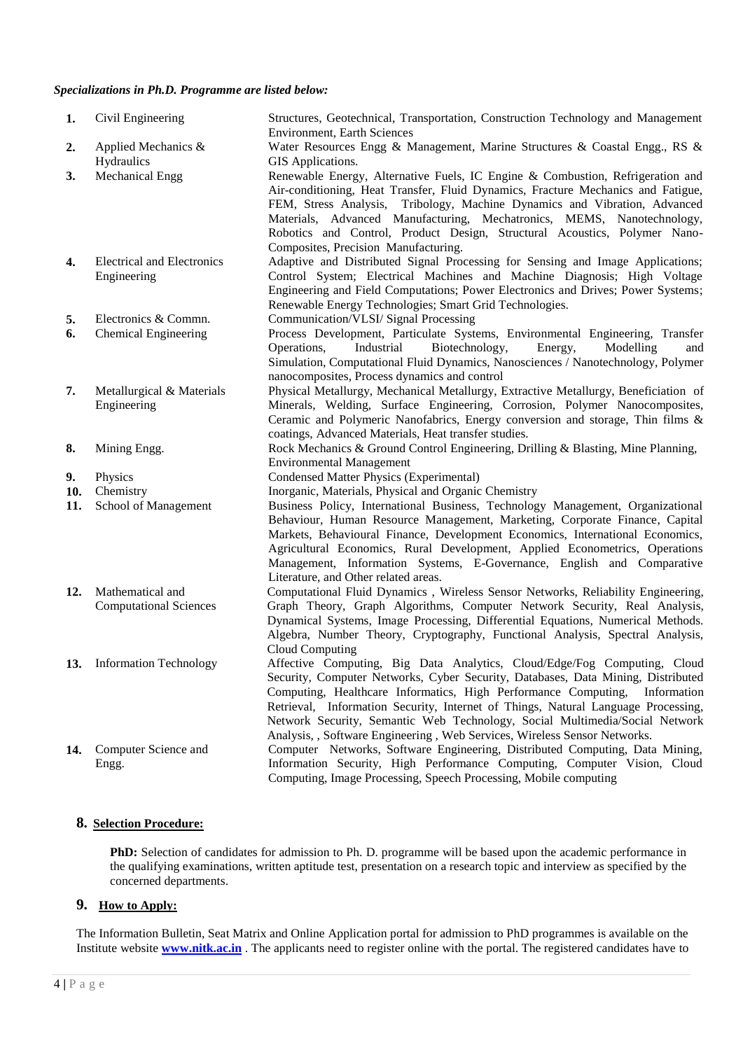#### *Specializations in Ph.D. Programme are listed below:*

| 1.               | Civil Engineering                                   | Structures, Geotechnical, Transportation, Construction Technology and Management<br><b>Environment, Earth Sciences</b>                                                                                                                                                                                                                                                                                                                                                                                                                                    |
|------------------|-----------------------------------------------------|-----------------------------------------------------------------------------------------------------------------------------------------------------------------------------------------------------------------------------------------------------------------------------------------------------------------------------------------------------------------------------------------------------------------------------------------------------------------------------------------------------------------------------------------------------------|
| 2.               | Applied Mechanics &                                 | Water Resources Engg & Management, Marine Structures & Coastal Engg., RS &                                                                                                                                                                                                                                                                                                                                                                                                                                                                                |
| 3.               | Hydraulics<br><b>Mechanical Engg</b>                | GIS Applications.<br>Renewable Energy, Alternative Fuels, IC Engine & Combustion, Refrigeration and<br>Air-conditioning, Heat Transfer, Fluid Dynamics, Fracture Mechanics and Fatigue,<br>FEM, Stress Analysis, Tribology, Machine Dynamics and Vibration, Advanced<br>Materials, Advanced Manufacturing, Mechatronics, MEMS, Nanotechnology,<br>Robotics and Control, Product Design, Structural Acoustics, Polymer Nano-<br>Composites, Precision Manufacturing.                                                                                       |
| 4.               | <b>Electrical and Electronics</b><br>Engineering    | Adaptive and Distributed Signal Processing for Sensing and Image Applications;<br>Control System; Electrical Machines and Machine Diagnosis; High Voltage<br>Engineering and Field Computations; Power Electronics and Drives; Power Systems;<br>Renewable Energy Technologies; Smart Grid Technologies.                                                                                                                                                                                                                                                  |
| 5.<br>6.         | Electronics & Commn.<br><b>Chemical Engineering</b> | Communication/VLSI/ Signal Processing<br>Process Development, Particulate Systems, Environmental Engineering, Transfer<br>Biotechnology,<br>Operations,<br>Industrial<br>Energy,<br>Modelling<br>and<br>Simulation, Computational Fluid Dynamics, Nanosciences / Nanotechnology, Polymer<br>nanocomposites, Process dynamics and control                                                                                                                                                                                                                  |
| 7.               | Metallurgical & Materials<br>Engineering            | Physical Metallurgy, Mechanical Metallurgy, Extractive Metallurgy, Beneficiation of<br>Minerals, Welding, Surface Engineering, Corrosion, Polymer Nanocomposites,<br>Ceramic and Polymeric Nanofabrics, Energy conversion and storage, Thin films &<br>coatings, Advanced Materials, Heat transfer studies.                                                                                                                                                                                                                                               |
| 8.               | Mining Engg.                                        | Rock Mechanics & Ground Control Engineering, Drilling & Blasting, Mine Planning,<br><b>Environmental Management</b>                                                                                                                                                                                                                                                                                                                                                                                                                                       |
| 9.<br>10.<br>11. | Physics<br>Chemistry<br>School of Management        | <b>Condensed Matter Physics (Experimental)</b><br>Inorganic, Materials, Physical and Organic Chemistry<br>Business Policy, International Business, Technology Management, Organizational<br>Behaviour, Human Resource Management, Marketing, Corporate Finance, Capital<br>Markets, Behavioural Finance, Development Economics, International Economics,<br>Agricultural Economics, Rural Development, Applied Econometrics, Operations<br>Management, Information Systems, E-Governance, English and Comparative<br>Literature, and Other related areas. |
| 12.              | Mathematical and<br><b>Computational Sciences</b>   | Computational Fluid Dynamics, Wireless Sensor Networks, Reliability Engineering,<br>Graph Theory, Graph Algorithms, Computer Network Security, Real Analysis,<br>Dynamical Systems, Image Processing, Differential Equations, Numerical Methods.<br>Algebra, Number Theory, Cryptography, Functional Analysis, Spectral Analysis,<br>Cloud Computing                                                                                                                                                                                                      |
|                  | 13. Information Technology                          | Affective Computing, Big Data Analytics, Cloud/Edge/Fog Computing, Cloud<br>Security, Computer Networks, Cyber Security, Databases, Data Mining, Distributed<br>Computing, Healthcare Informatics, High Performance Computing,<br>Information<br>Retrieval, Information Security, Internet of Things, Natural Language Processing,<br>Network Security, Semantic Web Technology, Social Multimedia/Social Network<br>Analysis, , Software Engineering, Web Services, Wireless Sensor Networks.                                                            |
| 14.              | Computer Science and<br>Engg.                       | Computer Networks, Software Engineering, Distributed Computing, Data Mining,<br>Information Security, High Performance Computing, Computer Vision, Cloud<br>Computing, Image Processing, Speech Processing, Mobile computing                                                                                                                                                                                                                                                                                                                              |

# **8. Selection Procedure:**

**PhD:** Selection of candidates for admission to Ph. D. programme will be based upon the academic performance in the qualifying examinations, written aptitude test, presentation on a research topic and interview as specified by the concerned departments.

# **9. How to Apply:**

The Information Bulletin, Seat Matrix and Online Application portal for admission to PhD programmes is available on the Institute website **[www.nitk.ac.in](http://www.nitk.ac.in/)** . The applicants need to register online with the portal. The registered candidates have to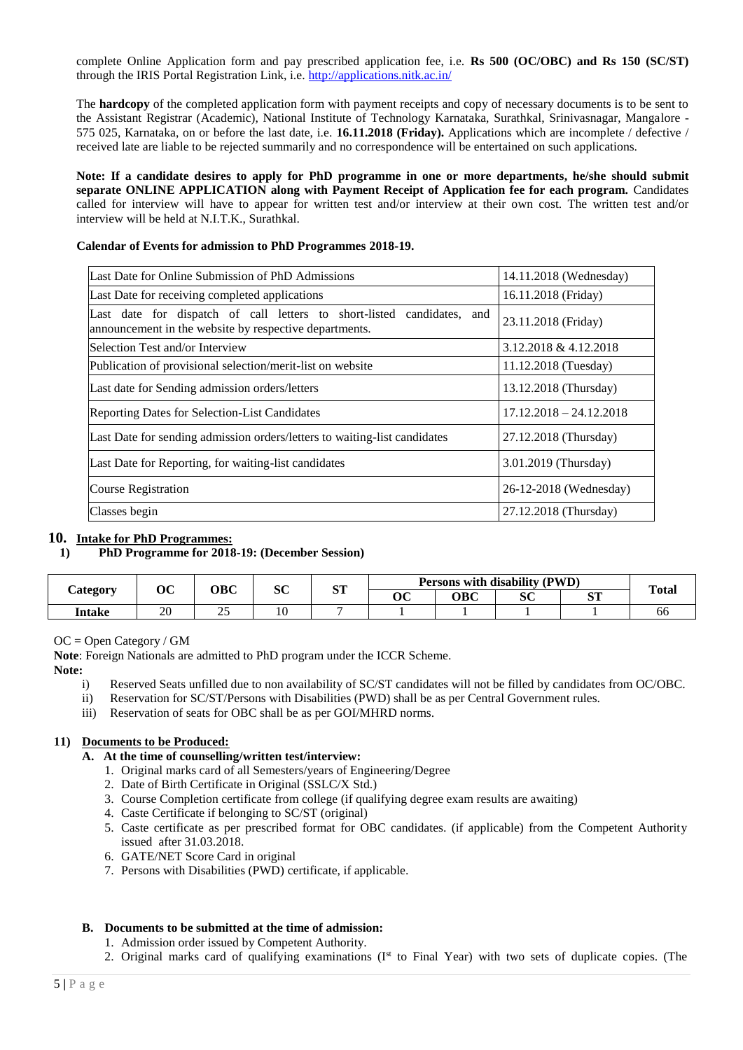complete Online Application form and pay prescribed application fee, i.e. **Rs 500 (OC/OBC) and Rs 150 (SC/ST)**  through the IRIS Portal Registration Link, i.e.<http://applications.nitk.ac.in/>

The **hardcopy** of the completed application form with payment receipts and copy of necessary documents is to be sent to the Assistant Registrar (Academic), National Institute of Technology Karnataka, Surathkal, Srinivasnagar, Mangalore - 575 025, Karnataka, on or before the last date, i.e. **16.11.2018 (Friday).** Applications which are incomplete / defective / received late are liable to be rejected summarily and no correspondence will be entertained on such applications.

**Note: If a candidate desires to apply for PhD programme in one or more departments, he/she should submit separate ONLINE APPLICATION along with Payment Receipt of Application fee for each program.** Candidates called for interview will have to appear for written test and/or interview at their own cost. The written test and/or interview will be held at N.I.T.K., Surathkal.

### **Calendar of Events for admission to PhD Programmes 2018-19.**

| Last Date for Online Submission of PhD Admissions                                                                                | 14.11.2018 (Wednesday)    |  |
|----------------------------------------------------------------------------------------------------------------------------------|---------------------------|--|
| Last Date for receiving completed applications                                                                                   | 16.11.2018 (Friday)       |  |
| Last date for dispatch of call letters to short-listed candidates, and<br>announcement in the website by respective departments. | 23.11.2018 (Friday)       |  |
| Selection Test and/or Interview                                                                                                  | 3.12.2018 & 4.12.2018     |  |
| Publication of provisional selection/merit-list on website                                                                       | 11.12.2018 (Tuesday)      |  |
| Last date for Sending admission orders/letters                                                                                   | 13.12.2018 (Thursday)     |  |
| Reporting Dates for Selection-List Candidates                                                                                    | $17.12.2018 - 24.12.2018$ |  |
| Last Date for sending admission orders/letters to waiting-list candidates                                                        | 27.12.2018 (Thursday)     |  |
| Last Date for Reporting, for waiting-list candidates                                                                             | 3.01.2019 (Thursday)      |  |
| Course Registration                                                                                                              | 26-12-2018 (Wednesday)    |  |
| Classes begin                                                                                                                    | 27.12.2018 (Thursday)     |  |

### **10. Intake for PhD Programmes:**

### **1) PhD Programme for 2018-19: (December Session)**

| <b><i>Category</i></b> | OBC<br>∩∩ |   | $\mathbf{c}$ | am  | Persons with disability (PWD)     |     |         |                 | <b>Total</b> |
|------------------------|-----------|---|--------------|-----|-----------------------------------|-----|---------|-----------------|--------------|
|                        | vc        |   | ou           | IJΙ | $\overline{\textbf{O}}\textbf{C}$ | овс | CΩ<br>v | $\alpha$ m<br>ິ |              |
| Intake                 | ററ<br>∠∪  | ت | 10           |     |                                   |     |         |                 | 00           |

### OC = Open Category / GM

**Note**: Foreign Nationals are admitted to PhD program under the ICCR Scheme.

### **Note:**

- i) Reserved Seats unfilled due to non availability of SC/ST candidates will not be filled by candidates from OC/OBC.
- ii) Reservation for SC/ST/Persons with Disabilities (PWD) shall be as per Central Government rules.
- iii) Reservation of seats for OBC shall be as per GOI/MHRD norms.

# **11) Documents to be Produced:**

- **A. At the time of counselling/written test/interview:**
	- 1. Original marks card of all Semesters/years of Engineering/Degree
	- 2. Date of Birth Certificate in Original (SSLC/X Std.)
	- 3. Course Completion certificate from college (if qualifying degree exam results are awaiting)
	- 4. Caste Certificate if belonging to SC/ST (original)
	- 5. Caste certificate as per prescribed format for OBC candidates. (if applicable) from the Competent Authority issued after 31.03.2018.
	- 6. GATE/NET Score Card in original
	- 7. Persons with Disabilities (PWD) certificate, if applicable.

# **B. Documents to be submitted at the time of admission:**

- 1. Admission order issued by Competent Authority.
- 2. Original marks card of qualifying examinations (I<sup>st</sup> to Final Year) with two sets of duplicate copies. (The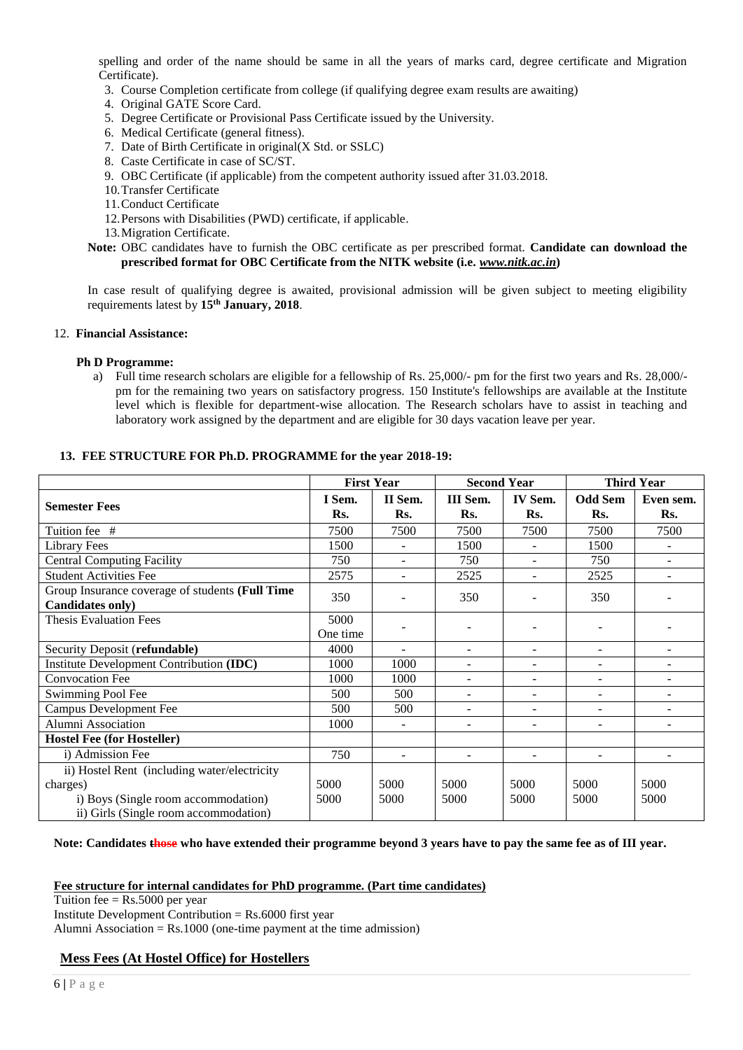spelling and order of the name should be same in all the years of marks card, degree certificate and Migration Certificate).

- 3. Course Completion certificate from college (if qualifying degree exam results are awaiting)
- 4. Original GATE Score Card.
- 5. Degree Certificate or Provisional Pass Certificate issued by the University.
- 6. Medical Certificate (general fitness).
- 7. Date of Birth Certificate in original(X Std. or SSLC)
- 8. Caste Certificate in case of SC/ST.
- 9. OBC Certificate (if applicable) from the competent authority issued after 31.03.2018.
- 10.Transfer Certificate
- 11.Conduct Certificate
- 12.Persons with Disabilities (PWD) certificate, if applicable.
- 13.Migration Certificate.

**Note:** OBC candidates have to furnish the OBC certificate as per prescribed format. **Candidate can download the prescribed format for OBC Certificate from the NITK website (i.e.** *[www.nitk.ac.in](http://www.nitk.ac.in/)***)** 

In case result of qualifying degree is awaited, provisional admission will be given subject to meeting eligibility requirements latest by **15th January, 2018**.

### 12. **Financial Assistance:**

#### **Ph D Programme:**

a) Full time research scholars are eligible for a fellowship of Rs. 25,000/- pm for the first two years and Rs. 28,000/ pm for the remaining two years on satisfactory progress. 150 Institute's fellowships are available at the Institute level which is flexible for department-wise allocation. The Research scholars have to assist in teaching and laboratory work assigned by the department and are eligible for 30 days vacation leave per year.

#### **13. FEE STRUCTURE FOR Ph.D. PROGRAMME for the year 2018-19:**

|                                                 | <b>First Year</b> |                          | <b>Second Year</b> |                | <b>Third Year</b>        |                          |
|-------------------------------------------------|-------------------|--------------------------|--------------------|----------------|--------------------------|--------------------------|
|                                                 | I Sem.            | II Sem.                  | III Sem.           | <b>IV Sem.</b> | <b>Odd Sem</b>           | Even sem.                |
| <b>Semester Fees</b>                            | Rs.               | Rs.                      | Rs.                | Rs.            | Rs.                      | Rs.                      |
| Tuition fee #                                   | 7500              | 7500                     | 7500               | 7500           | 7500                     | 7500                     |
| <b>Library Fees</b>                             | 1500              |                          | 1500               |                | 1500                     |                          |
| <b>Central Computing Facility</b>               | 750               |                          | 750                |                | 750                      |                          |
| <b>Student Activities Fee</b>                   | 2575              | $\overline{\phantom{0}}$ | 2525               | $\sim$         | 2525                     | ٠                        |
| Group Insurance coverage of students (Full Time | 350               |                          | 350                |                | 350                      |                          |
| Candidates only)                                |                   |                          |                    |                |                          |                          |
| <b>Thesis Evaluation Fees</b>                   | 5000              |                          |                    | ۰              |                          |                          |
|                                                 | One time          |                          |                    |                |                          |                          |
| Security Deposit (refundable)                   | 4000              |                          |                    | ۰              | -                        |                          |
| Institute Development Contribution (IDC)        | 1000              | 1000                     | ٠                  | Ξ.             | $\overline{\phantom{a}}$ | $\overline{\phantom{a}}$ |
| <b>Convocation Fee</b>                          | 1000              | 1000                     | ۰                  | ÷.             | $\sim$                   | ÷                        |
| Swimming Pool Fee                               | 500               | 500                      | $\overline{a}$     | ÷              | ÷.                       | $\overline{a}$           |
| Campus Development Fee                          | 500               | 500                      |                    | ۰              | $\overline{\phantom{a}}$ | $\blacksquare$           |
| Alumni Association                              | 1000              |                          |                    | ۰              |                          |                          |
| <b>Hostel Fee (for Hosteller)</b>               |                   |                          |                    |                |                          |                          |
| i) Admission Fee                                | 750               |                          |                    | $\overline{a}$ |                          |                          |
| ii) Hostel Rent (including water/electricity    |                   |                          |                    |                |                          |                          |
| charges)                                        | 5000              | 5000                     | 5000               | 5000           | 5000                     | 5000                     |
| i) Boys (Single room accommodation)             | 5000              | 5000                     | 5000               | 5000           | 5000                     | 5000                     |
| ii) Girls (Single room accommodation)           |                   |                          |                    |                |                          |                          |

#### **Note: Candidates those who have extended their programme beyond 3 years have to pay the same fee as of III year.**

#### **Fee structure for internal candidates for PhD programme. (Part time candidates)**

Tuition fee  $=$  Rs.5000 per year Institute Development Contribution = Rs.6000 first year Alumni Association =  $Rs.1000$  (one-time payment at the time admission)

### **Mess Fees (At Hostel Office) for Hostellers**